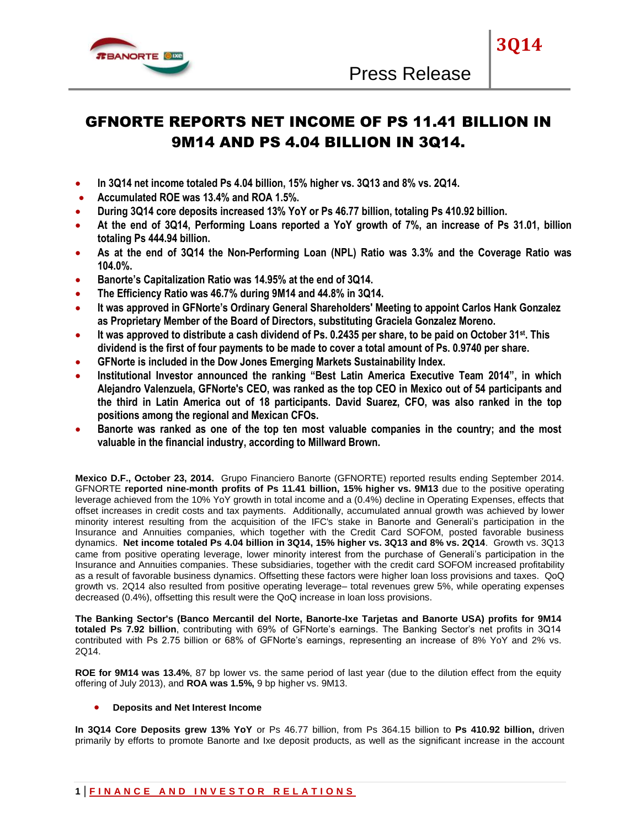

**3Q14**

# GFNORTE REPORTS NET INCOME OF PS 11.41 BILLION IN 9M14 AND PS 4.04 BILLION IN 3Q14.

- **In 3Q14 net income totaled Ps 4.04 billion, 15% higher vs. 3Q13 and 8% vs. 2Q14.**
- **Accumulated ROE was 13.4% and ROA 1.5%.**
- **During 3Q14 core deposits increased 13% YoY or Ps 46.77 billion, totaling Ps 410.92 billion.**
- **At the end of 3Q14, Performing Loans reported a YoY growth of 7%, an increase of Ps 31.01, billion totaling Ps 444.94 billion.**
- **As at the end of 3Q14 the Non-Performing Loan (NPL) Ratio was 3.3% and the Coverage Ratio was 104.0%.**
- **Banorte's Capitalization Ratio was 14.95% at the end of 3Q14.**
- **The Efficiency Ratio was 46.7% during 9M14 and 44.8% in 3Q14.**
- **It was approved in GFNorte's Ordinary General Shareholders' Meeting to appoint Carlos Hank Gonzalez as Proprietary Member of the Board of Directors, substituting Graciela Gonzalez Moreno.**
- **It was approved to distribute a cash dividend of Ps. 0.2435 per share, to be paid on October 31st. This dividend is the first of four payments to be made to cover a total amount of Ps. 0.9740 per share.**
- **GFNorte is included in the Dow Jones Emerging Markets Sustainability Index.**
- **Institutional Investor announced the ranking "Best Latin America Executive Team 2014", in which Alejandro Valenzuela, GFNorte's CEO, was ranked as the top CEO in Mexico out of 54 participants and the third in Latin America out of 18 participants. David Suarez, CFO, was also ranked in the top positions among the regional and Mexican CFOs.**
- **Banorte was ranked as one of the top ten most valuable companies in the country; and the most valuable in the financial industry, according to Millward Brown.**

**Mexico D.F., October 23, 2014.** Grupo Financiero Banorte (GFNORTE) reported results ending September 2014. GFNORTE **reported nine-month profits of Ps 11.41 billion, 15% higher vs. 9M13** due to the positive operating leverage achieved from the 10% YoY growth in total income and a (0.4%) decline in Operating Expenses, effects that offset increases in credit costs and tax payments. Additionally, accumulated annual growth was achieved by lower minority interest resulting from the acquisition of the IFC's stake in Banorte and Generali's participation in the Insurance and Annuities companies, which together with the Credit Card SOFOM, posted favorable business dynamics. **Net income totaled Ps 4.04 billion in 3Q14, 15% higher vs. 3Q13 and 8% vs. 2Q14**. Growth vs. 3Q13 came from positive operating leverage, lower minority interest from the purchase of Generali's participation in the Insurance and Annuities companies. These subsidiaries, together with the credit card SOFOM increased profitability as a result of favorable business dynamics. Offsetting these factors were higher loan loss provisions and taxes. QoQ growth vs. 2Q14 also resulted from positive operating leverage– total revenues grew 5%, while operating expenses decreased (0.4%), offsetting this result were the QoQ increase in loan loss provisions.

**The Banking Sector's (Banco Mercantil del Norte, Banorte-Ixe Tarjetas and Banorte USA) profits for 9M14 totaled Ps 7.92 billion**, contributing with 69% of GFNorte's earnings. The Banking Sector's net profits in 3Q14 contributed with Ps 2.75 billion or 68% of GFNorte's earnings, representing an increase of 8% YoY and 2% vs. 2Q14.

**ROE for 9M14 was 13.4%**, 87 bp lower vs. the same period of last year (due to the dilution effect from the equity offering of July 2013), and **ROA was 1.5%,** 9 bp higher vs. 9M13.

## **Deposits and Net Interest Income**

**In 3Q14 Core Deposits grew 13% YoY** or Ps 46.77 billion, from Ps 364.15 billion to **Ps 410.92 billion,** driven primarily by efforts to promote Banorte and Ixe deposit products, as well as the significant increase in the account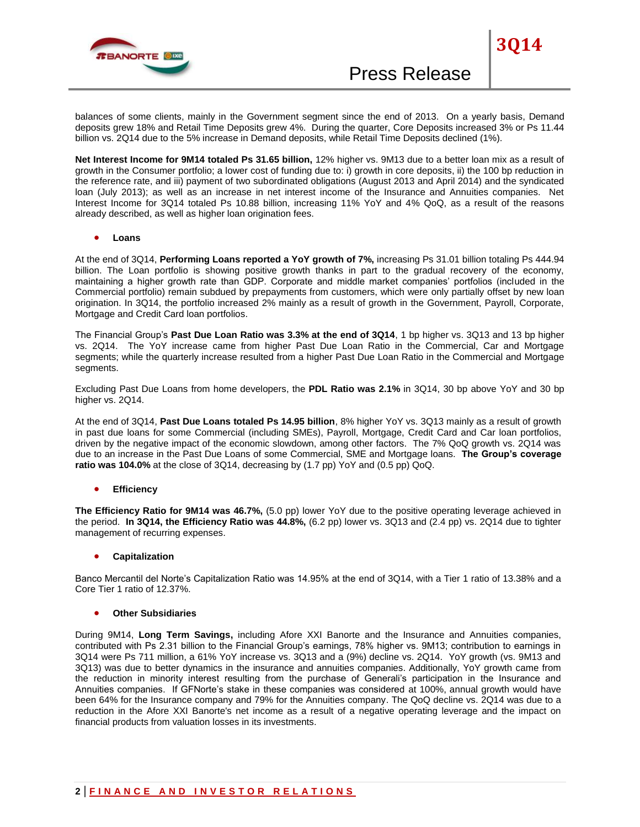

**3Q14**

balances of some clients, mainly in the Government segment since the end of 2013. On a yearly basis, Demand deposits grew 18% and Retail Time Deposits grew 4%. During the quarter, Core Deposits increased 3% or Ps 11.44 billion vs. 2Q14 due to the 5% increase in Demand deposits, while Retail Time Deposits declined (1%).

**Net Interest Income for 9M14 totaled Ps 31.65 billion,** 12% higher vs. 9M13 due to a better loan mix as a result of growth in the Consumer portfolio; a lower cost of funding due to: i) growth in core deposits, ii) the 100 bp reduction in the reference rate, and iii) payment of two subordinated obligations (August 2013 and April 2014) and the syndicated loan (July 2013); as well as an increase in net interest income of the Insurance and Annuities companies. Net Interest Income for 3Q14 totaled Ps 10.88 billion, increasing 11% YoY and 4% QoQ, as a result of the reasons already described, as well as higher loan origination fees.

**Loans**

At the end of 3Q14, **Performing Loans reported a YoY growth of 7%,** increasing Ps 31.01 billion totaling Ps 444.94 billion. The Loan portfolio is showing positive growth thanks in part to the gradual recovery of the economy, maintaining a higher growth rate than GDP. Corporate and middle market companies' portfolios (included in the Commercial portfolio) remain subdued by prepayments from customers, which were only partially offset by new loan origination. In 3Q14, the portfolio increased 2% mainly as a result of growth in the Government, Payroll, Corporate, Mortgage and Credit Card loan portfolios.

The Financial Group's **Past Due Loan Ratio was 3.3% at the end of 3Q14**, 1 bp higher vs. 3Q13 and 13 bp higher vs. 2Q14. The YoY increase came from higher Past Due Loan Ratio in the Commercial, Car and Mortgage segments; while the quarterly increase resulted from a higher Past Due Loan Ratio in the Commercial and Mortgage segments.

Excluding Past Due Loans from home developers, the **PDL Ratio was 2.1%** in 3Q14, 30 bp above YoY and 30 bp higher vs. 2Q14.

At the end of 3Q14, **Past Due Loans totaled Ps 14.95 billion**, 8% higher YoY vs. 3Q13 mainly as a result of growth in past due loans for some Commercial (including SMEs), Payroll, Mortgage, Credit Card and Car loan portfolios, driven by the negative impact of the economic slowdown, among other factors. The 7% QoQ growth vs. 2Q14 was due to an increase in the Past Due Loans of some Commercial, SME and Mortgage loans. **The Group's coverage ratio was 104.0%** at the close of 3Q14, decreasing by (1.7 pp) YoY and (0.5 pp) QoQ.

**Efficiency**

**The Efficiency Ratio for 9M14 was 46.7%,** (5.0 pp) lower YoY due to the positive operating leverage achieved in the period. **In 3Q14, the Efficiency Ratio was 44.8%,** (6.2 pp) lower vs. 3Q13 and (2.4 pp) vs. 2Q14 due to tighter management of recurring expenses.

**Capitalization**

Banco Mercantil del Norte's Capitalization Ratio was 14.95% at the end of 3Q14, with a Tier 1 ratio of 13.38% and a Core Tier 1 ratio of 12.37%.

# **Other Subsidiaries**

During 9M14, **Long Term Savings,** including Afore XXI Banorte and the Insurance and Annuities companies, contributed with Ps 2.31 billion to the Financial Group's earnings, 78% higher vs. 9M13; contribution to earnings in 3Q14 were Ps 711 million, a 61% YoY increase vs. 3Q13 and a (9%) decline vs. 2Q14. YoY growth (vs. 9M13 and 3Q13) was due to better dynamics in the insurance and annuities companies. Additionally, YoY growth came from the reduction in minority interest resulting from the purchase of Generali's participation in the Insurance and Annuities companies. If GFNorte's stake in these companies was considered at 100%, annual growth would have been 64% for the Insurance company and 79% for the Annuities company. The QoQ decline vs. 2Q14 was due to a reduction in the Afore XXI Banorte's net income as a result of a negative operating leverage and the impact on financial products from valuation losses in its investments.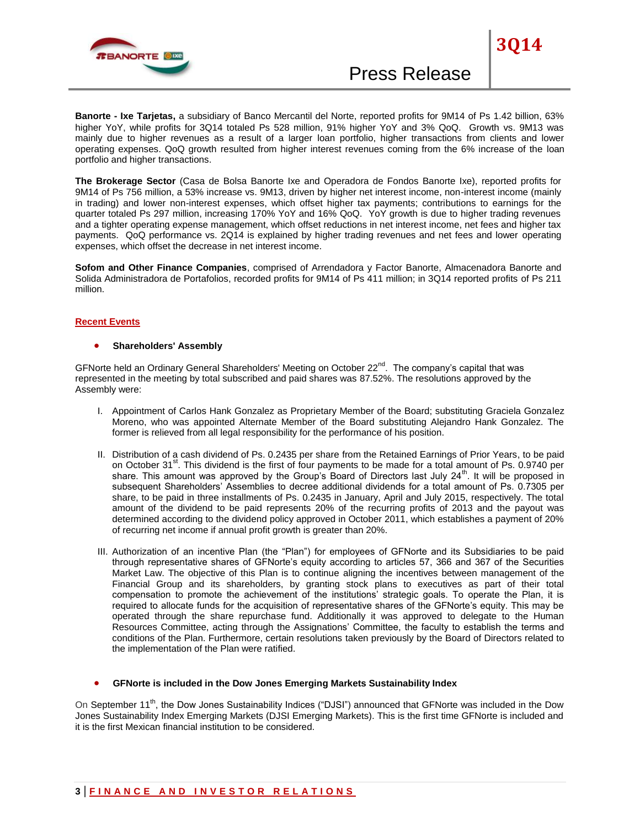

**3Q14**

**The Brokerage Sector** (Casa de Bolsa Banorte Ixe and Operadora de Fondos Banorte Ixe), reported profits for 9M14 of Ps 756 million, a 53% increase vs. 9M13, driven by higher net interest income, non-interest income (mainly in trading) and lower non-interest expenses, which offset higher tax payments; contributions to earnings for the quarter totaled Ps 297 million, increasing 170% YoY and 16% QoQ. YoY growth is due to higher trading revenues and a tighter operating expense management, which offset reductions in net interest income, net fees and higher tax payments. QoQ performance vs. 2Q14 is explained by higher trading revenues and net fees and lower operating expenses, which offset the decrease in net interest income.

**Sofom and Other Finance Companies**, comprised of Arrendadora y Factor Banorte, Almacenadora Banorte and Solida Administradora de Portafolios, recorded profits for 9M14 of Ps 411 million; in 3Q14 reported profits of Ps 211 million.

#### **Recent Events**

#### **•** Shareholders' Assembly

GFNorte held an Ordinary General Shareholders' Meeting on October 22<sup>nd</sup>. The company's capital that was represented in the meeting by total subscribed and paid shares was 87.52%. The resolutions approved by the Assembly were:

- I. Appointment of Carlos Hank Gonzalez as Proprietary Member of the Board; substituting Graciela Gonzalez Moreno, who was appointed Alternate Member of the Board substituting Alejandro Hank Gonzalez. The former is relieved from all legal responsibility for the performance of his position.
- II. Distribution of a cash dividend of Ps. 0.2435 per share from the Retained Earnings of Prior Years, to be paid on October 31<sup>st</sup>. This dividend is the first of four payments to be made for a total amount of Ps. 0.9740 per share. This amount was approved by the Group's Board of Directors last July 24<sup>th</sup>. It will be proposed in subsequent Shareholders' Assemblies to decree additional dividends for a total amount of Ps. 0.7305 per share, to be paid in three installments of Ps. 0.2435 in January, April and July 2015, respectively. The total amount of the dividend to be paid represents 20% of the recurring profits of 2013 and the payout was determined according to the dividend policy approved in October 2011, which establishes a payment of 20% of recurring net income if annual profit growth is greater than 20%.
- III. Authorization of an incentive Plan (the "Plan") for employees of GFNorte and its Subsidiaries to be paid through representative shares of GFNorte's equity according to articles 57, 366 and 367 of the Securities Market Law. The objective of this Plan is to continue aligning the incentives between management of the Financial Group and its shareholders, by granting stock plans to executives as part of their total compensation to promote the achievement of the institutions' strategic goals. To operate the Plan, it is required to allocate funds for the acquisition of representative shares of the GFNorte's equity. This may be operated through the share repurchase fund. Additionally it was approved to delegate to the Human Resources Committee, acting through the Assignations' Committee, the faculty to establish the terms and conditions of the Plan. Furthermore, certain resolutions taken previously by the Board of Directors related to the implementation of the Plan were ratified.

## **GFNorte is included in the Dow Jones Emerging Markets Sustainability Index**

On September 11<sup>th</sup>, the Dow Jones Sustainability Indices ("DJSI") announced that GFNorte was included in the Dow Jones Sustainability Index Emerging Markets (DJSI Emerging Markets). This is the first time GFNorte is included and it is the first Mexican financial institution to be considered.